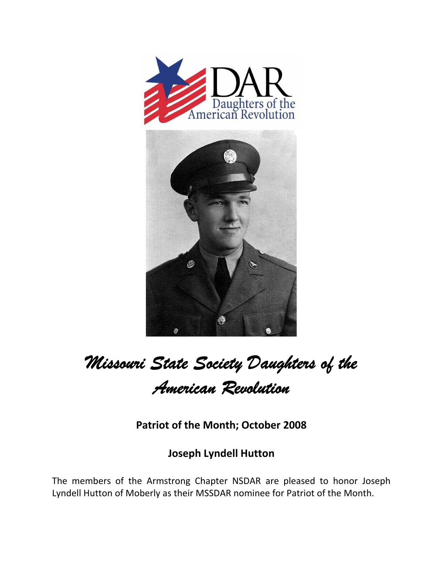



## *Missouri State Society Daughters of the American Revolution*

**Patriot of the Month; October 2008**

**Joseph Lyndell Hutton**

The members of the Armstrong Chapter NSDAR are pleased to honor Joseph Lyndell Hutton of Moberly as their MSSDAR nominee for Patriot of the Month.